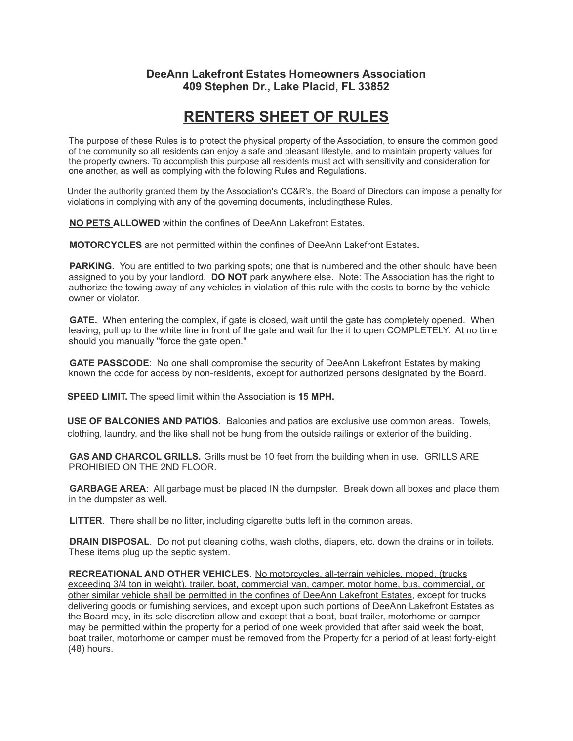## **DeeAnn Lakefront Estates Homeowners Association 409 Stephen Dr., Lake Placid, FL 33852**

# **RENTERS SHEET OF RULES**

The purpose of these Rules is to protect the physical property of the Association, to ensure the common good of the community so all residents can enjoy a safe and pleasant lifestyle, and to maintain property values for the property owners. To accomplish this purpose all residents must act with sensitivity and consideration for one another, as well as complying with the following Rules and Regulations.

Under the authority granted them by the Association's CC&R's, the Board of Directors can impose a penalty for violations in complying with any of the governing documents, includingthese Rules.

**NO PETS ALLOWED** within the confines of DeeAnn Lakefront Estates**.**

**MOTORCYCLES** are not permitted within the confines of DeeAnn Lakefront Estates**.**

**PARKING.** You are entitled to two parking spots; one that is numbered and the other should have been assigned to you by your landlord. **DO NOT** park anywhere else. Note: The Association has the right to authorize the towing away of any vehicles in violation of this rule with the costs to borne by the vehicle owner or violator.

**GATE.** When entering the complex, if gate is closed, wait until the gate has completely opened. When leaving, pull up to the white line in front of the gate and wait for the it to open COMPLETELY. At no time should you manually "force the gate open."

**GATE PASSCODE**: No one shall compromise the security of DeeAnn Lakefront Estates by making known the code for access by non-residents, except for authorized persons designated by the Board.

**SPEED LIMIT.** The speed limit within the Association is **15 MPH.**

**USE OF BALCONIES AND PATIOS.** Balconies and patios are exclusive use common areas. Towels, clothing, laundry, and the like shall not be hung from the outside railings or exterior of the building.

**GAS AND CHARCOL GRILLS.** Grills must be 10 feet from the building when in use. GRILLS ARE PROHIBIED ON THE 2ND FLOOR.

**GARBAGE AREA**: All garbage must be placed IN the dumpster. Break down all boxes and place them in the dumpster as well.

**LITTER**. There shall be no litter, including cigarette butts left in the common areas.

**DRAIN DISPOSAL**. Do not put cleaning cloths, wash cloths, diapers, etc. down the drains or in toilets. These items plug up the septic system.

**RECREATIONAL AND OTHER VEHICLES.** No motorcycles, all-terrain vehicles, moped, (trucks exceeding 3/4 ton in weight), trailer, boat, commercial van, camper, motor home, bus, commercial, or other similar vehicle shall be permitted in the confines of DeeAnn Lakefront Estates, except for trucks delivering goods or furnishing services, and except upon such portions of DeeAnn Lakefront Estates as the Board may, in its sole discretion allow and except that a boat, boat trailer, motorhome or camper may be permitted within the property for a period of one week provided that after said week the boat, boat trailer, motorhome or camper must be removed from the Property for a period of at least forty-eight (48) hours.